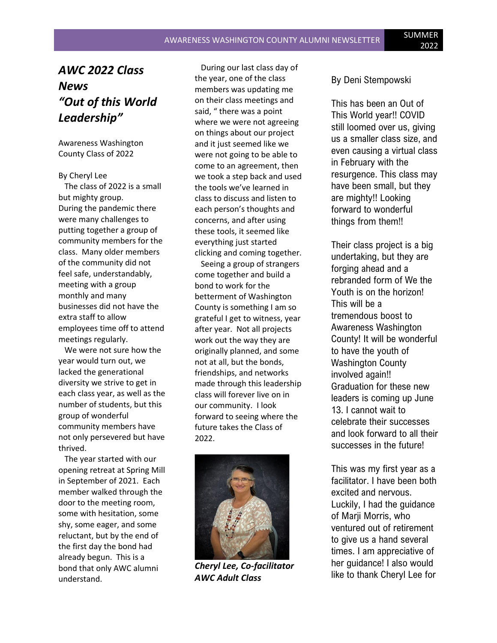## *AWC 2022 Class News "Out of this World Leadership"*

Awareness Washington County Class of 2022

By Cheryl Lee

 The class of 2022 is a small but mighty group. During the pandemic there were many challenges to putting together a group of community members for the class. Many older members of the community did not feel safe, understandably, meeting with a group monthly and many businesses did not have the extra staff to allow employees time off to attend meetings regularly.

 We were not sure how the year would turn out, we lacked the generational diversity we strive to get in each class year, as well as the number of students, but this group of wonderful community members have not only persevered but have thrived.

 The year started with our opening retreat at Spring Mill in September of 2021. Each member walked through the door to the meeting room, some with hesitation, some shy, some eager, and some reluctant, but by the end of the first day the bond had already begun. This is a bond that only AWC alumni understand.

 During our last class day of the year, one of the class members was updating me on their class meetings and said, " there was a point where we were not agreeing on things about our project and it just seemed like we were not going to be able to come to an agreement, then we took a step back and used the tools we've learned in class to discuss and listen to each person's thoughts and concerns, and after using these tools, it seemed like everything just started clicking and coming together.

 Seeing a group of strangers come together and build a bond to work for the betterment of Washington County is something I am so grateful I get to witness, year after year. Not all projects work out the way they are originally planned, and some not at all, but the bonds, friendships, and networks made through this leadership class will forever live on in our community. I look forward to seeing where the future takes the Class of 2022.



*Cheryl Lee, Co-facilitator AWC Adult Class*

By Deni Stempowski

This has been an Out of This World year!! COVID still loomed over us, giving us a smaller class size, and even causing a virtual class in February with the resurgence. This class may have been small, but they are mighty!! Looking forward to wonderful things from them!!

Their class project is a big undertaking, but they are forging ahead and a rebranded form of We the Youth is on the horizon! This will be a tremendous boost to Awareness Washington County! It will be wonderful to have the youth of Washington County involved again!! Graduation for these new leaders is coming up June 13. I cannot wait to celebrate their successes and look forward to all their successes in the future!

This was my first year as a facilitator. I have been both excited and nervous. Luckily, I had the guidance of Marji Morris, who ventured out of retirement to give us a hand several times. I am appreciative of her guidance! I also would like to thank Cheryl Lee for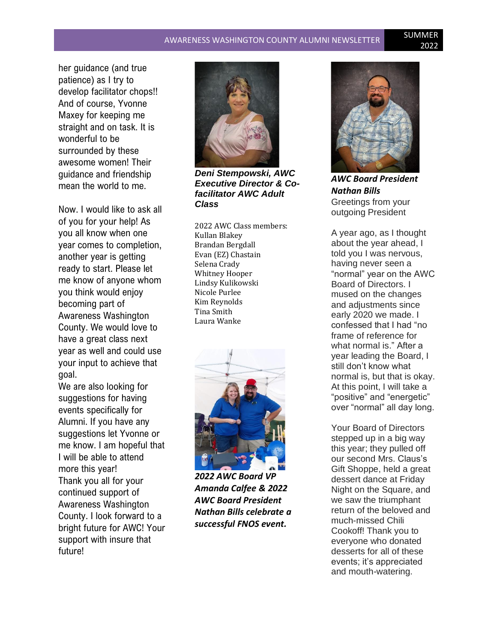# AWARENESS WASHINGTON COUNTY ALUMNI NEWSLETTER SUMMER

her guidance (and true patience) as I try to develop facilitator chops!! And of course, Yvonne Maxey for keeping me straight and on task. It is wonderful to be surrounded by these awesome women! Their guidance and friendship mean the world to me.

Now. I would like to ask all of you for your help! As you all know when one year comes to completion, another year is getting ready to start. Please let me know of anyone whom you think would enjoy becoming part of Awareness Washington County. We would love to have a great class next year as well and could use your input to achieve that goal.

We are also looking for suggestions for having events specifically for Alumni. If you have any suggestions let Yvonne or me know. I am hopeful that I will be able to attend more this year! Thank you all for your continued support of Awareness Washington County. I look forward to a bright future for AWC! Your support with insure that future!



*Executive Director & Cofacilitator AWC Adult Class*

2022 AWC Class members: Kullan Blakey Brandan Bergdall Evan (EZ) Chastain Selena Crady Whitney Hooper Lindsy Kulikowski Nicole Purlee Kim Reynolds Tina Smith Laura Wanke



*2022 AWC Board VP Amanda Calfee & 2022 AWC Board President Nathan Bills celebrate a successful FNOS event.*



*AWC Board President Nathan Bills* Greetings from your outgoing President

A year ago, as I thought about the year ahead, I told you I was nervous, having never seen a "normal" year on the AWC Board of Directors. I mused on the changes and adjustments since early 2020 we made. I confessed that I had "no frame of reference for what normal is." After a year leading the Board, I still don't know what normal is, but that is okay. At this point, I will take a "positive" and "energetic" over "normal" all day long.

Your Board of Directors stepped up in a big way this year; they pulled off our second Mrs. Claus's Gift Shoppe, held a great dessert dance at Friday Night on the Square, and we saw the triumphant return of the beloved and much-missed Chili Cookoff! Thank you to everyone who donated desserts for all of these events; it's appreciated and mouth-watering.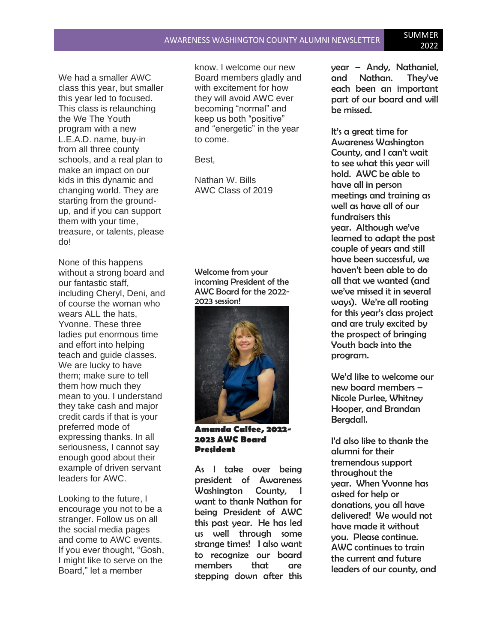We had a smaller AWC class this year, but smaller this year led to focused. This class is relaunching the We The Youth program with a new L.E.A.D. name, buy-in from all three county schools, and a real plan to make an impact on our kids in this dynamic and changing world. They are starting from the groundup, and if you can support them with your time, treasure, or talents, please do!

None of this happens without a strong board and our fantastic staff, including Cheryl, Deni, and of course the woman who wears ALL the hats, Yvonne. These three ladies put enormous time and effort into helping teach and guide classes. We are lucky to have them; make sure to tell them how much they mean to you. I understand they take cash and major credit cards if that is your preferred mode of expressing thanks. In all seriousness, I cannot say enough good about their example of driven servant leaders for AWC.

Looking to the future, I encourage you not to be a stranger. Follow us on all the social media pages and come to AWC events. If you ever thought, "Gosh, I might like to serve on the Board," let a member

know. I welcome our new Board members gladly and with excitement for how they will avoid AWC ever becoming "normal" and keep us both "positive" and "energetic" in the year to come.

Best,

Nathan W. Bills AWC Class of 2019

Welcome from your incoming President of the AWC Board for the 2022- 2023 session!



**Amanda Calfee, 2022- 2023 AWC Board President**

As I take over being president of Awareness Washington County, I want to thank Nathan for being President of AWC this past year. He has led us well through some strange times! I also want to recognize our board members that are stepping down after this

year – Andy, Nathaniel, and Nathan. They've each been an important part of our board and will be missed.

It's a great time for Awareness Washington County, and I can't wait to see what this year will hold. AWC be able to have all in person meetings and training as well as have all of our fundraisers this year. Although we've learned to adapt the past couple of years and still have been successful, we haven't been able to do all that we wanted (and we've missed it in several ways). We're all rooting for this year's class project and are truly excited by the prospect of bringing Youth back into the program.

We'd like to welcome our new board members – Nicole Purlee, Whitney Hooper, and Brandan Bergdall.

I'd also like to thank the alumni for their tremendous support throughout the year. When Yvonne has asked for help or donations, you all have delivered! We would not have made it without you. Please continue. AWC continues to train the current and future leaders of our county, and